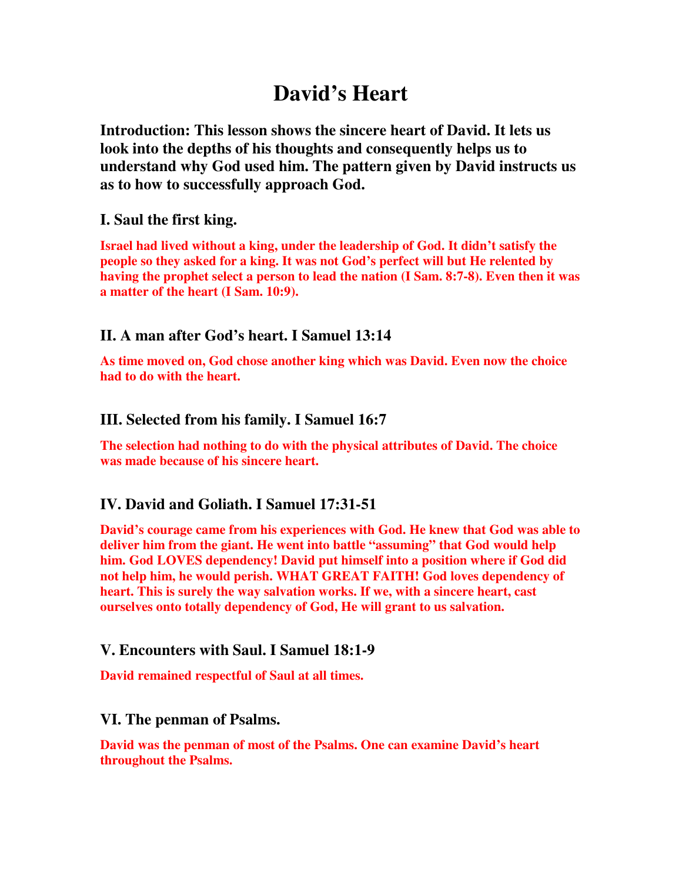# **David's Heart**

**Introduction: This lesson shows the sincere heart of David. It lets us look into the depths of his thoughts and consequently helps us to understand why God used him. The pattern given by David instructs us as to how to successfully approach God.** 

#### **I. Saul the first king.**

**Israel had lived without a king, under the leadership of God. It didn't satisfy the people so they asked for a king. It was not God's perfect will but He relented by having the prophet select a person to lead the nation (I Sam. 8:7-8). Even then it was a matter of the heart (I Sam. 10:9).** 

### **II. A man after God's heart. I Samuel 13:14**

**As time moved on, God chose another king which was David. Even now the choice had to do with the heart.** 

#### **III. Selected from his family. I Samuel 16:7**

**The selection had nothing to do with the physical attributes of David. The choice was made because of his sincere heart.** 

## **IV. David and Goliath. I Samuel 17:31-51**

**David's courage came from his experiences with God. He knew that God was able to deliver him from the giant. He went into battle "assuming" that God would help him. God LOVES dependency! David put himself into a position where if God did not help him, he would perish. WHAT GREAT FAITH! God loves dependency of heart. This is surely the way salvation works. If we, with a sincere heart, cast ourselves onto totally dependency of God, He will grant to us salvation.** 

#### **V. Encounters with Saul. I Samuel 18:1-9**

**David remained respectful of Saul at all times.** 

#### **VI. The penman of Psalms.**

**David was the penman of most of the Psalms. One can examine David's heart throughout the Psalms.**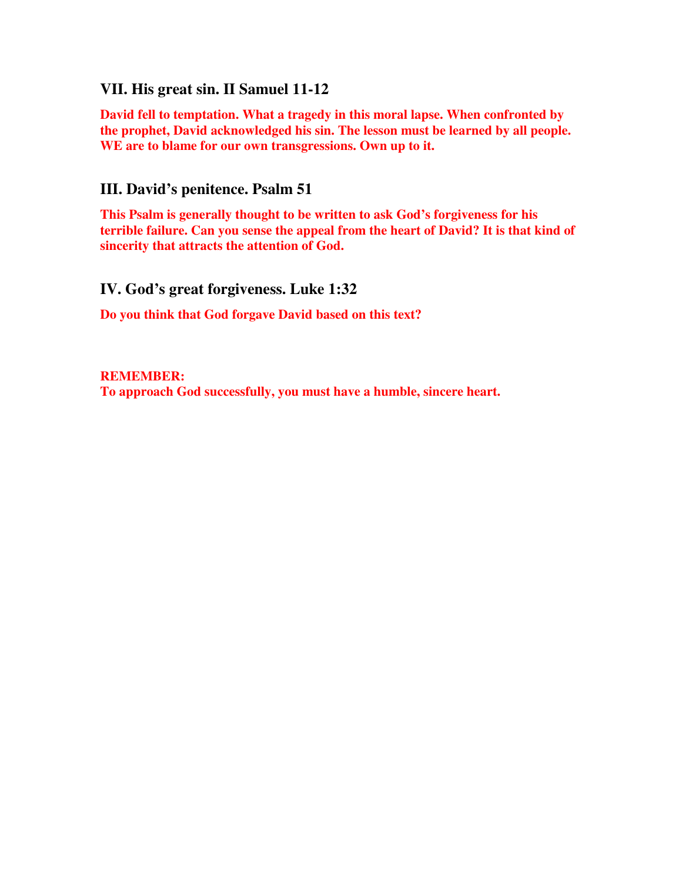#### **VII. His great sin. II Samuel 11-12**

**David fell to temptation. What a tragedy in this moral lapse. When confronted by the prophet, David acknowledged his sin. The lesson must be learned by all people. WE are to blame for our own transgressions. Own up to it.** 

#### **III. David's penitence. Psalm 51**

**This Psalm is generally thought to be written to ask God's forgiveness for his terrible failure. Can you sense the appeal from the heart of David? It is that kind of sincerity that attracts the attention of God.** 

**IV. God's great forgiveness. Luke 1:32** 

**Do you think that God forgave David based on this text?** 

**REMEMBER: To approach God successfully, you must have a humble, sincere heart.**